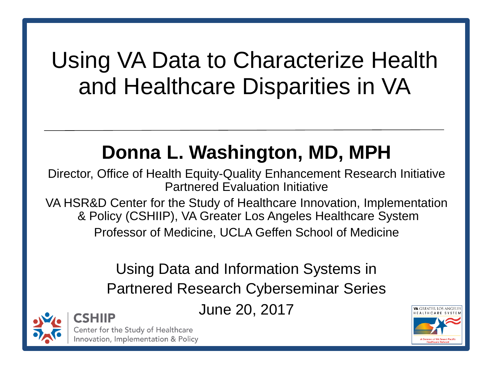#### and Healthcare Disparities in VAUsing VA Data to Characterize Health

#### **Donna L. Washington, MD, MPH**

**Partnered Evaluation Initiative** Director, Office of Health Equity-Quality Enhancement Research Initiative

& Policy (CSHIIP), VA Greater Los Angeles Healthcare System VA HSR&D Center for the Study of Healthcare Innovation, Implementation Professor of Medicine, UCLA Geffen School of Medicine Partnered Evaluation Initiative<br>VA HSR&D Center for the Study of Healthcare Innovation, Implementation<br>& Policy (CSHIIP), VA Greater Los Angeles Healthcare System<br>Professor of Medicine, UCLA Geffen School of Medicine<br>Using

## **Partnered Research Cyberseminar Series**

June 20, 2017



Center for the Study of Healthcare

Innovation, Implementation & Policy

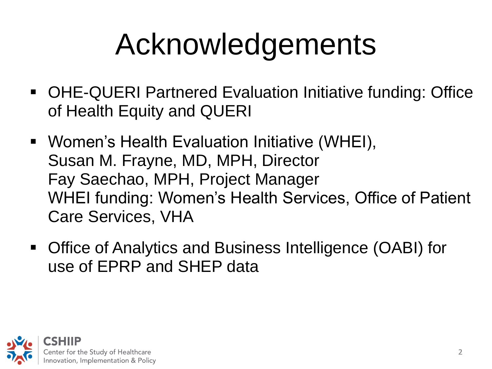## Acknowledgements

- OHE-QUERI Partnered Evaluation Initiative funding: Office of Health Equity and QUERI
- **Women's Health Evaluation Initiative (WHEI),** Susan M. Frayne, MD, MPH, Director Fay Saechao, MPH, Project Manager WHEI funding: Women's Health Services, Office of Patient Care Services, VHA
- use of EPRP and SHEP data Office of Analytics and Business Intelligence (OABI) for

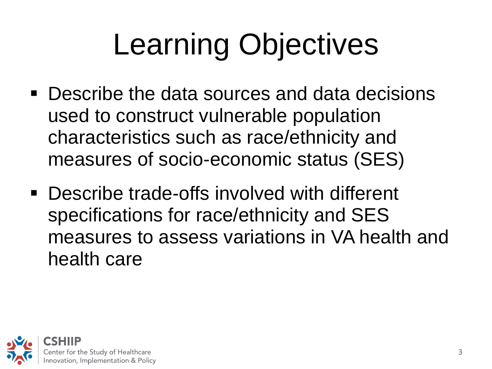## Learning Objectives

- used to construct vulnerable population measures of socio-economic status (SES) **Describe the data sources and data decisions** characteristics such as race/ethnicity and
- specifications for race/ethnicity and SES **Describe trade-offs involved with different** measures to assess variations in VA health and health care

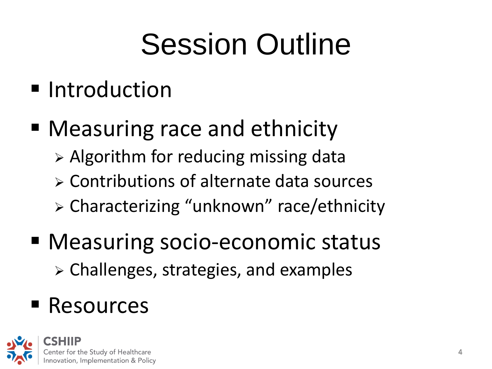## Session Outline

- **Introduction**
- **Measuring race and ethnicity** 
	- $\triangleright$  Algorithm for reducing missing data
	- Contributions of alternate data sources
	- > Characterizing "unknown" race/ethnicity
- > Challenges, strategies, and examples<br>Resources Measuring socio-economic status
- Resources

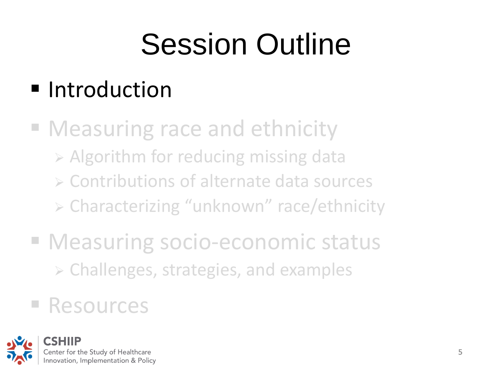## Session Outline

#### **Introduction**

- **Measuring race and ethnicity**  Contributions of alternate data sources Algorithm for reducing missing data > Characterizing "unknown" race/ethnicity
- > Challenges, strategies, and examples<br>Resources **E Measuring socio-economic status**

#### **E** Resources

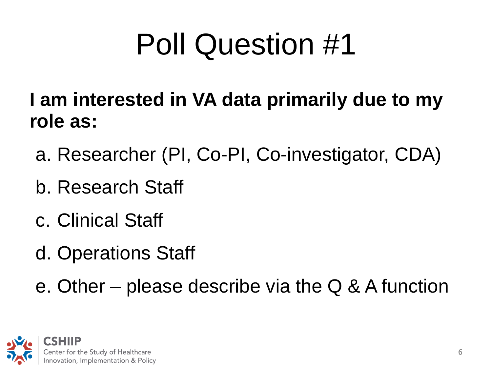## Poll Question #1

- **I am interested in VA data primarily due to my role as:**
- a. Researcher (PI, Co-PI, Co-investigator, CDA)<br>b. Research Staff
- 
- c. Clinical Staff
- d. Operations Staff
- e. Other please describe via the Q & A function

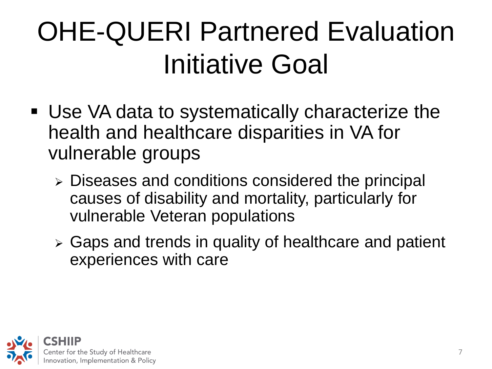## OHE-QUERI Partnered Evaluation Initiative Goal

- health and healthcare disparities in VA for vulnerable groups Use VA data to systematically characterize the
	- Diseases and conditions considered the principal causes of disability and mortality, particularly for vulnerable Veteran populations
	- Gaps and trends in quality of healthcare and patient experiences with care

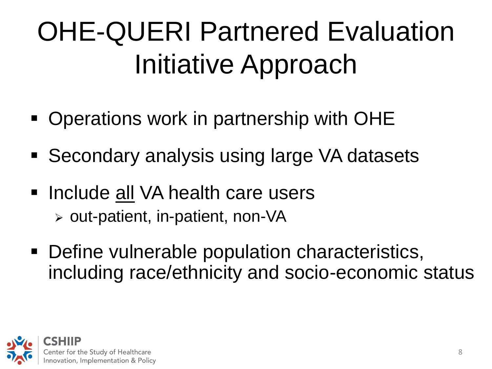## OHE-QUERI Partnered Evaluation Initiative Approach

- **Operations work in partnership with OHE**
- Secondary analysis using large VA datasets<br>Include <u>all</u> VA health care users
- Include all VA health care users  $\triangleright$  out-patient, in-patient, non-VA
- **Define vulnerable population characteristics,** including race/ethnicity and socio-economic status

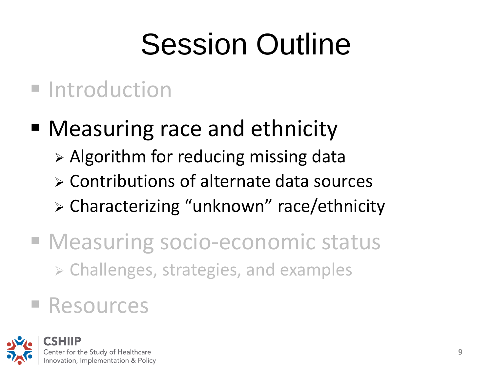## Session Outline

#### **Introduction**

- **Measuring race and ethnicity** 
	- $\triangleright$  Algorithm for reducing missing data
	- Contributions of alternate data sources
	- > Characterizing "unknown" race/ethnicity
- $\triangleright$  Challenges, strategies, and examples<br>Resources **Measuring socio-economic status**

#### **E** Resources

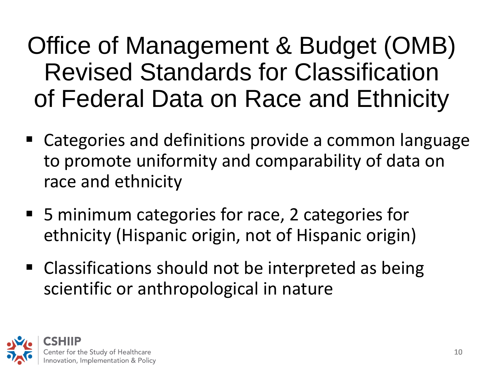### Revised Standards for Classification of Federal Data on Race and EthnicityOffice of Management & Budget (OMB)

- Categories and definitions provide a common language to promote uniformity and comparability of data on race and ethnicity
- 5 minimum categories for race, 2 categories for ethnicity (Hispanic origin, not of Hispanic origin)
- scientific or anthropological in nature **EXTE:** Classifications should not be interpreted as being

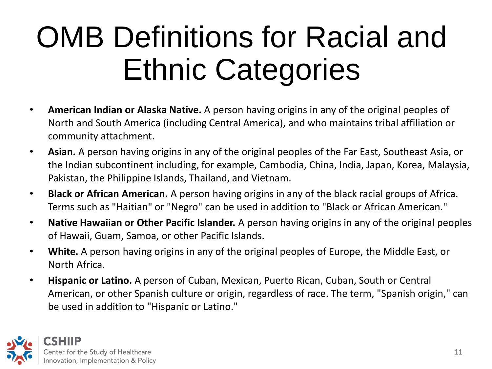## **Ethnic Categories**<br>• **American Indian or Alaska Native.** A person having origins in any of the original peoples of OMB Definitions for Racial and

- North and South America (including Central America), and who maintains tribal affiliation or community attachment.
- the Indian subcontinent including, for example, Cambodia, China, India, Japan, Korea, Malaysia, ¨ **Asian.** A person having origins in any of the original peoples of the Far East, Southeast Asia, or Pakistan, the Philippine Islands, Thailand, and Vietnam.
- Terms such as "Haitian" or "Negro" can be used in addition to "Black or African American."  $\bullet$ **Black or African American.** A person having origins in any of the black racial groups of Africa.
- of Hawaii, Guam, Samoa, or other Pacific Islands. ¨ **Native Hawaiian or Other Pacific Islander.** A person having origins in any of the original peoples
- North Africa. ¨ **White.** A person having origins in any of the original peoples of Europe, the Middle East, or
- **Hispanic or Latino.** A person of Cuban, Mexican, Puerto Rican, Cuban, South or Central American, or other Spanish culture or origin, regardless of race. The term, "Spanish origin," can be used in addition to "Hispanic or Latino."

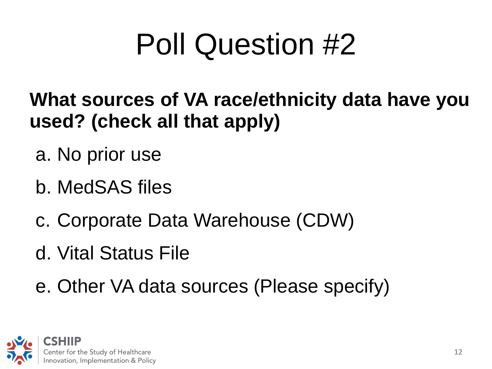## Poll Question #2

- **What sources of VA race/ethnicity data have you used? (check all that apply)**
- a. No prior use
- b. MedSAS files
- c. Corporate Data Warehouse (CDW)
- d. Vital Status File
- e. Other VA data sources (Please specify)

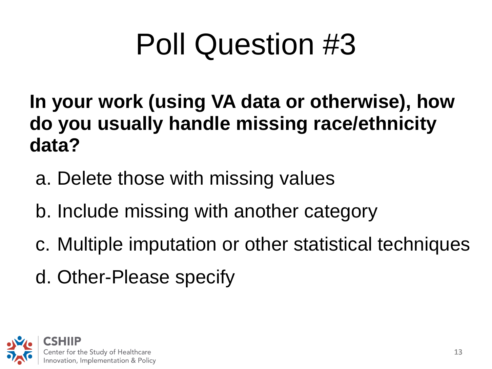## Poll Question #3

 **do you usually handle missing race/ethnicity In your work (using VA data or otherwise), how data?** 

- a. Delete those with missing values
- b. Include missing with another category
- c. Multiple imputation or other statistical techniques<br>d. Other-Please specify
- d. Other-Please specify

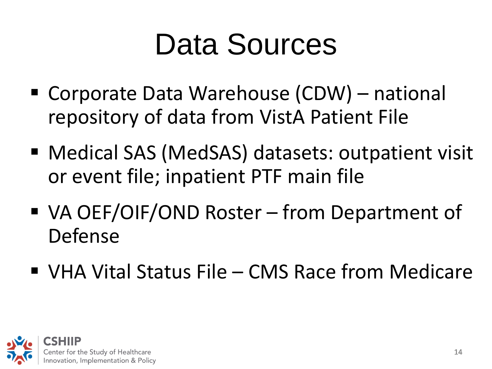## Data Sources

- repository of data from VistA Patient File Corporate Data Warehouse (CDW) – national
- Medical SAS (MedSAS) datasets: outpatient visit or event file; inpatient PTF main file
- VA OEF/OIF/OND Roster from Department of Defense
- VHA Vital Status File CMS Race from Medicare

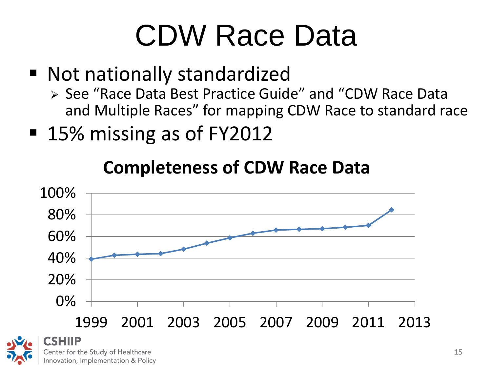## CDW Race Data

- Not nationally standardized
	- > See "Race Data Best Practice Guide" and "CDW Race Data and Multiple Races" for mapping CDW Race to standard race
- 15% missing as of FY2012

#### **Completeness of CDW Race Data**

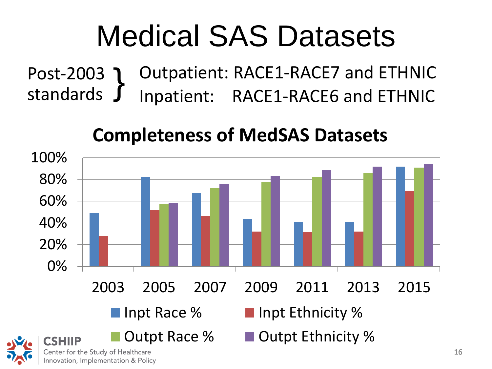## Medical SAS Datasets

Post-2003 } Outpatient: RACE1-RACE7 and ETHNIC Inpatient: RACE1-RACE6 and ETHNIC

#### **Completeness of MedSAS Datasets**



16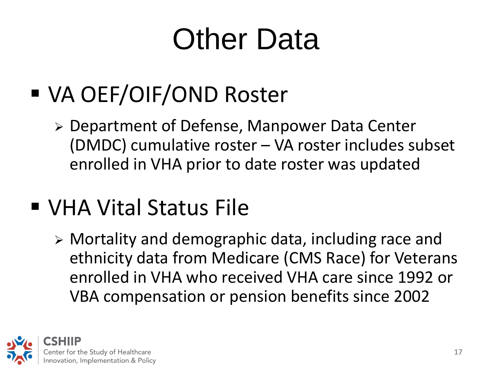## Other Data

### VA OEF/OIF/OND Roster

 Department of Defense, Manpower Data Center (DMDC) cumulative roster – VA roster includes subset enrolled in VHA prior to date roster was updated

#### VHA Vital Status File

 Mortality and demographic data, including race and ethnicity data from Medicare (CMS Race) for Veterans enrolled in VHA who received VHA care since 1992 or VBA compensation or pension benefits since 2002

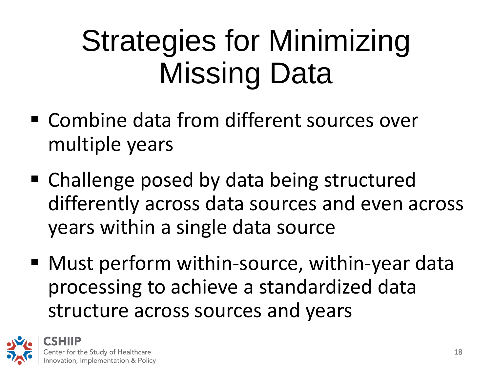## Missing DataStrategies for Minimizing

- multiple years **Examble data from different sources over**
- Challenge posed by data being structured differently across data sources and even across years within a single data source
- structure across sources and years Must perform within-source, within-year data processing to achieve a standardized data

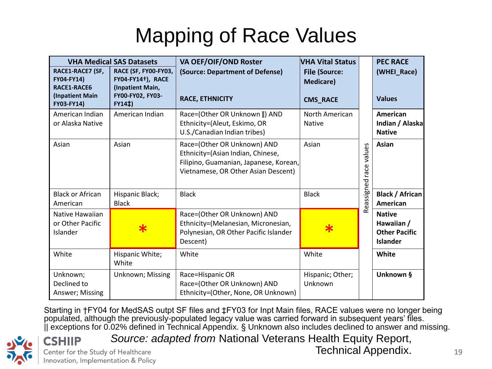#### Mapping of Race Values

| <b>VHA Medical SAS Datasets</b>                                                |                                                                                          | VA OEF/OIF/OND Roster                                                                                                                             | VHA Vital Status                                            |                 | <b>PEC RACE</b>                                                        |
|--------------------------------------------------------------------------------|------------------------------------------------------------------------------------------|---------------------------------------------------------------------------------------------------------------------------------------------------|-------------------------------------------------------------|-----------------|------------------------------------------------------------------------|
| RACE1-RACE7 (SF,<br>FY04-FY14)<br><b>RACE1-RACE6</b><br><b>(Inpatient Main</b> | RACE (SF, FY00-FY03,<br><b>FY04-FY14+), RACE</b><br>(Inpatient Main,<br>FY00-FY02, FY03- | (Source: Department of Defense)<br><b>RACE, ETHNICITY</b>                                                                                         | <b>File (Source:</b><br><b>Medicare)</b><br><b>CMS_RACE</b> |                 | (WHEI_Race)<br><b>Values</b>                                           |
| FY03-FY14)<br>American Indian                                                  | FY14 <sup>‡</sup> )<br>American Indian                                                   |                                                                                                                                                   | North American                                              |                 | American                                                               |
| or Alaska Native                                                               |                                                                                          | Race=(Other OR Unknown   ) AND<br>Ethnicity=(Aleut, Eskimo, OR<br>U.S./Canadian Indian tribes)                                                    | <b>Native</b>                                               |                 | Indian / Alaska<br><b>Native</b>                                       |
| Asian                                                                          | Asian                                                                                    | Race=(Other OR Unknown) AND<br>Ethnicity=(Asian Indian, Chinese,<br>Filipino, Guamanian, Japanese, Korean,<br>Vietnamese, OR Other Asian Descent) | Asian                                                       | values<br>race  | Asian                                                                  |
| <b>Black or African</b><br>American                                            | Hispanic Black;<br><b>Black</b>                                                          | <b>Black</b>                                                                                                                                      | <b>Black</b>                                                | ssigned<br>င္ယြ | Black / African<br>American                                            |
| Native Hawaiian<br>or Other Pacific<br>Islander                                |                                                                                          | Race=(Other OR Unknown) AND<br>Ethnicity=(Melanesian, Micronesian,<br>Polynesian, OR Other Pacific Islander<br>Descent)                           | $\textcolor{red}{\bigstar}$                                 | œ               | <b>Native</b><br>Hawaiian /<br><b>Other Pacific</b><br><b>Islander</b> |
| White                                                                          | Hispanic White;<br>White                                                                 | White                                                                                                                                             | White                                                       |                 | White                                                                  |
| Unknown;<br>Declined to<br>Answer; Missing                                     | Unknown; Missing                                                                         | Race=Hispanic OR<br>Race=(Other OR Unknown) AND<br>Ethnicity=(Other, None, OR Unknown)                                                            | Hispanic; Other;<br>Unknown                                 |                 | Unknown §                                                              |

 Starting in †FY04 for MedSAS outpt SF files and ‡FY03 for Inpt Main files, RACE values were no longer being populated, although the previously-populated legacy value was carried forward in subsequent years' files. || exceptions for 0.02% defined in Technical Appendix. § Unknown also includes declined to answer and missing.



*Source: adapted from* National Veterans Health Equity Report,

Center for the Study of Healthcare Innovation, Implementation & Policy

**ISHIIP** 

Technical Appendix.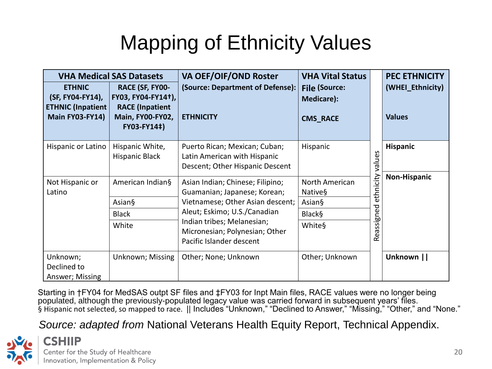#### Mapping of Ethnicity Values

| <b>ETHNIC</b><br>(SF, FY04-FY14),<br><b>ETHNIC (Inpatient</b><br><b>Main FY03-FY14)</b> | <b>VHA Medical SAS Datasets</b><br>RACE (SF, FY00-<br>FY03, FY04-FY14+),<br><b>RACE (Inpatient</b><br>Main, FY00-FY02,<br>FY03-FY14‡) | <b>VA OEF/OIF/OND Roster</b><br>(Source: Department of Defense):<br><b>ETHNICITY</b>                                                                                                                                             | <b>VHA Vital Status</b><br><b>File (Source:</b><br>Medicare):<br><b>CMS_RACE</b> |                         | <b>PEC ETHNICITY</b><br>(WHEI_Ethnicity)<br><b>Values</b> |
|-----------------------------------------------------------------------------------------|---------------------------------------------------------------------------------------------------------------------------------------|----------------------------------------------------------------------------------------------------------------------------------------------------------------------------------------------------------------------------------|----------------------------------------------------------------------------------|-------------------------|-----------------------------------------------------------|
| Hispanic or Latino                                                                      | Hispanic White,<br><b>Hispanic Black</b>                                                                                              | Puerto Rican; Mexican; Cuban;<br>Latin American with Hispanic<br>Descent; Other Hispanic Descent                                                                                                                                 | Hispanic                                                                         | values                  | Hispanic                                                  |
| Not Hispanic or<br>Latino                                                               | American Indian§<br>Asian§<br><b>Black</b><br>White                                                                                   | Asian Indian; Chinese; Filipino;<br>Guamanian; Japanese; Korean;<br>Vietnamese; Other Asian descent;<br>Aleut; Eskimo; U.S./Canadian<br>Indian tribes; Melanesian;<br>Micronesian; Polynesian; Other<br>Pacific Islander descent | North American<br>Native§<br>Asian§<br><b>Black§</b><br>White§                   | ethnicity<br>Reassigned | <b>Non-Hispanic</b>                                       |
| Unknown;<br>Declined to<br>Answer; Missing                                              | Unknown; Missing                                                                                                                      | Other; None; Unknown                                                                                                                                                                                                             | Other; Unknown                                                                   |                         | Unknown                                                   |

in †FY04 for MedSAS outpt SF files and ‡FY03 for Inpt Main files, RACE values were no longer being  $\begin{array}{c} \begin{array}{c} \begin{array}{c} \begin{array}{c} \end{array}\\ \end{array} \end{array} \end{array} \end{array}$ and "None." Starting in †FY04 for MedSAS outpt SF files and ‡FY03 for Inpt Main files, RACE values were no longer being<br>populated, although the previously-populated legacy value was carried forward in subsequent years' files. § Hispanic not selected, so mapped to race. || Includes "Unknown," "Declined to Answer," "Missing," "Other," and "None."

*Source: adapted from* National Veterans Health Equity Report, Technical Appendix.

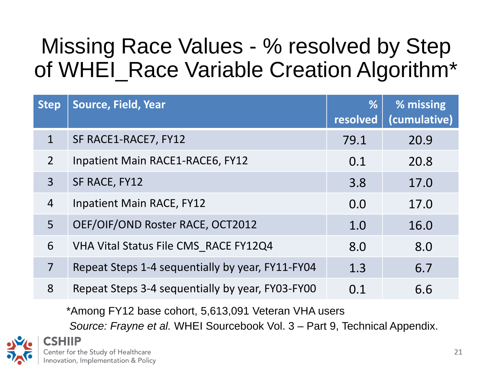#### Missing Race Values - % resolved by Step of WHEI\_Race Variable Creation Algorithm\*

| <b>Step</b>    | Source, Field, Year                              | %<br>resolved | % missing<br>(cumulative) |
|----------------|--------------------------------------------------|---------------|---------------------------|
| $\mathbf{1}$   | SF RACE1-RACE7, FY12                             | 79.1          | 20.9                      |
| $\overline{2}$ | Inpatient Main RACE1-RACE6, FY12                 | 0.1           | 20.8                      |
| $\overline{3}$ | SF RACE, FY12                                    | 3.8           | 17.0                      |
| $\overline{4}$ | <b>Inpatient Main RACE, FY12</b>                 | 0.0           | 17.0                      |
| 5 <sup>1</sup> | OEF/OIF/OND Roster RACE, OCT2012                 | 1.0           | 16.0                      |
| 6              | VHA Vital Status File CMS RACE FY12Q4            | 8.0           | 8.0                       |
| $\overline{7}$ | Repeat Steps 1-4 sequentially by year, FY11-FY04 | 1.3           | 6.7                       |
| 8              | Repeat Steps 3-4 sequentially by year, FY03-FY00 | 0.1           | 6.6                       |

\*Among FY12 base cohort, 5,613,091 Veteran VHA users

*Source: Frayne et al.* WHEI Sourcebook Vol. 3 – Part 9, Technical Appendix.

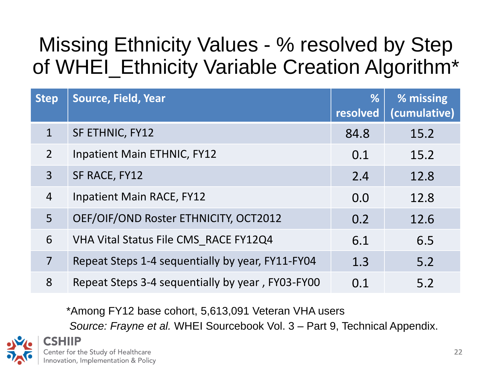#### of WHEI\_Ethnicity Variable Creation Algorithm\*Missing Ethnicity Values - % resolved by Step

| <b>Step</b>    | Source, Field, Year                              | %<br>resolved | % missing<br>(cumulative) |
|----------------|--------------------------------------------------|---------------|---------------------------|
| $\mathbf{1}$   | SF ETHNIC, FY12                                  | 84.8          | 15.2                      |
| $2^{\circ}$    | Inpatient Main ETHNIC, FY12                      | 0.1           | 15.2                      |
| $\overline{3}$ | SF RACE, FY12                                    | 2.4           | 12.8                      |
| $\overline{4}$ | Inpatient Main RACE, FY12                        | 0.0           | 12.8                      |
| 5 <sup>1</sup> | OEF/OIF/OND Roster ETHNICITY, OCT2012            | 0.2           | 12.6                      |
| 6              | VHA Vital Status File CMS RACE FY12Q4            | 6.1           | 6.5                       |
| $\overline{7}$ | Repeat Steps 1-4 sequentially by year, FY11-FY04 | 1.3           | 5.2                       |
| 8              | Repeat Steps 3-4 sequentially by year, FY03-FY00 | 0.1           | 5.2                       |

\*Among FY12 base cohort, 5,613,091 Veteran VHA users

*Source: Frayne et al.* WHEI Sourcebook Vol. 3 – Part 9, Technical Appendix.

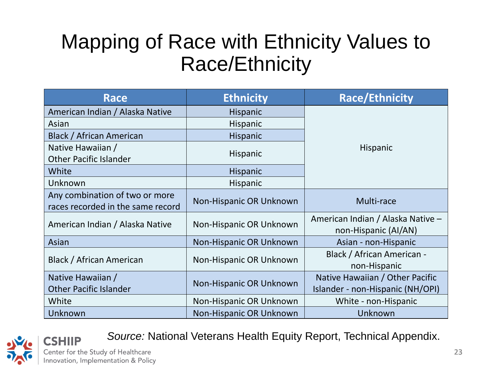#### Race/Ethnicity Mapping of Race with Ethnicity Values to

| <b>Race</b>                                                         | <b>Ethnicity</b>        | <b>Race/Ethnicity</b>                                               |  |  |
|---------------------------------------------------------------------|-------------------------|---------------------------------------------------------------------|--|--|
| American Indian / Alaska Native                                     | <b>Hispanic</b>         |                                                                     |  |  |
| Asian                                                               | Hispanic                |                                                                     |  |  |
| Black / African American                                            | Hispanic                |                                                                     |  |  |
| Native Hawaiian /<br><b>Other Pacific Islander</b>                  | Hispanic                | <b>Hispanic</b>                                                     |  |  |
| White                                                               | Hispanic                |                                                                     |  |  |
| Unknown                                                             | Hispanic                |                                                                     |  |  |
| Any combination of two or more<br>races recorded in the same record | Non-Hispanic OR Unknown | Multi-race                                                          |  |  |
| American Indian / Alaska Native                                     | Non-Hispanic OR Unknown | American Indian / Alaska Native -<br>non-Hispanic (AI/AN)           |  |  |
| Asian                                                               | Non-Hispanic OR Unknown | Asian - non-Hispanic                                                |  |  |
| Black / African American                                            | Non-Hispanic OR Unknown | Black / African American -<br>non-Hispanic                          |  |  |
| Native Hawaiian /<br><b>Other Pacific Islander</b>                  | Non-Hispanic OR Unknown | Native Hawaiian / Other Pacific<br>Islander - non-Hispanic (NH/OPI) |  |  |
| White                                                               | Non-Hispanic OR Unknown | White - non-Hispanic                                                |  |  |
| Unknown                                                             | Non-Hispanic OR Unknown | Unknown                                                             |  |  |



CSHIIP

*Source:* National Veterans Health Equity Report, Technical Appendix.

Center for the Study of Healthcare Innovation, Implementation & Policy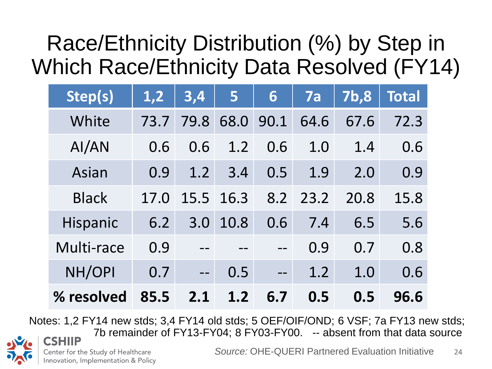#### Which Race/Ethnicity Data Resolved (FY14)Race/Ethnicity Distribution (%) by Step in

| Step(s)      | 1,2  | 3,4  | 5    | 6    | 7a   | 7b,8 | <b>Total</b> |
|--------------|------|------|------|------|------|------|--------------|
| White        | 73.7 | 79.8 | 68.0 | 90.1 | 64.6 | 67.6 | 72.3         |
| AI/AN        | 0.6  | 0.6  | 1.2  | 0.6  | 1.0  | 1.4  | 0.6          |
| Asian        | 0.9  | 1.2  | 3.4  | 0.5  | 1.9  | 2.0  | 0.9          |
| <b>Black</b> | 17.0 | 15.5 | 16.3 | 8.2  | 23.2 | 20.8 | 15.8         |
| Hispanic     | 6.2  | 3.0  | 10.8 | 0.6  | 7.4  | 6.5  | 5.6          |
| Multi-race   | 0.9  |      |      |      | 0.9  | 0.7  | 0.8          |
| NH/OPI       | 0.7  |      | 0.5  |      | 1.2  | 1.0  | 0.6          |
| % resolved   | 85.5 | 2.1  | 1.2  | 6.7  | 0.5  | 0.5  | 96.6         |

 Notes: 1,2 FY14 new stds; 3,4 FY14 old stds; 5 OEF/OIF/OND; 6 VSF; 7a FY13 new stds; 7b remainder of FY13-FY04; 8 FY03-FY00. -- absent from that data source CSHIIP

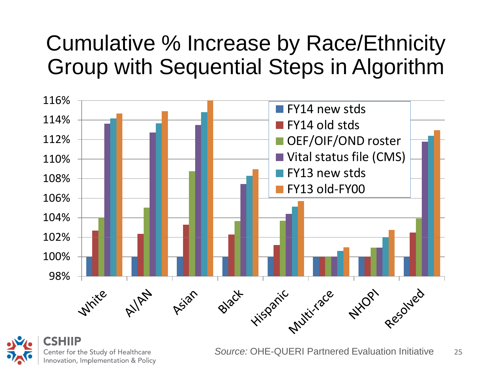#### Group with Sequential Steps in Algorithm Cumulative % Increase by Race/Ethnicity





*Source:* OHE-QUERI Partnered Evaluation Initiative 25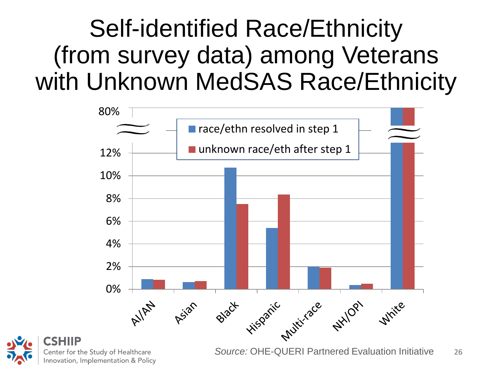### with Unknown MedSAS Race/EthnicitySelf-identified Race/Ethnicity (from survey data) among Veterans





26 *Source:* OHE-QUERI Partnered Evaluation Initiative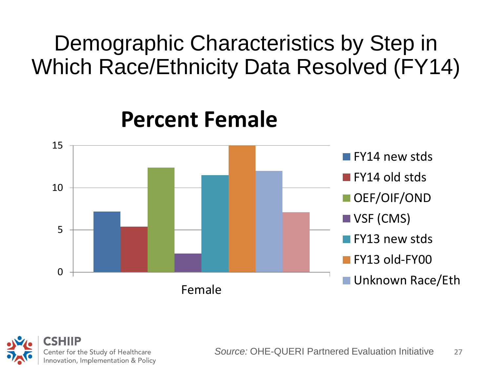#### Demographic Characteristics by Step in<br>Which Race/Ethnicity Data Resolved (FY14) Demographic Characteristics by Step in



#### **Percent Female**

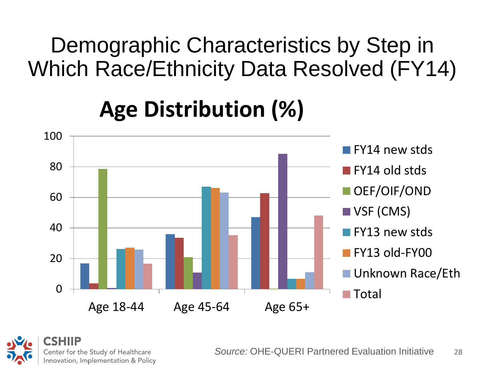Which Race/Ethnicity Data Resolved (FY14)Demographic Characteristics by Step in

#### **Age Distribution (%)**



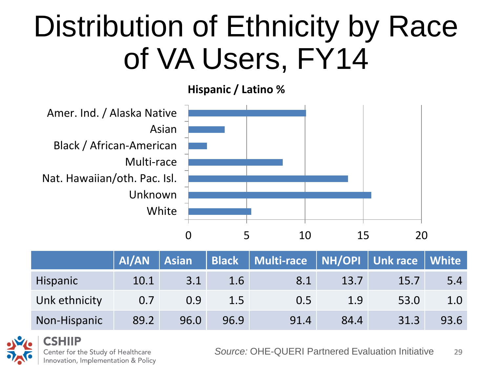## of VA Users, FY14Distribution of Ethnicity by Race

**Hispanic / Latino %** 



|                 | AI/AN | <b>Asian</b> |      | Black   Multi-race   NH/OPI   Unk race   White |      |      |      |
|-----------------|-------|--------------|------|------------------------------------------------|------|------|------|
| <b>Hispanic</b> | 10.1  | 3.1          | 1.6  | 8.1                                            | 13.7 | 15.7 | 5.4  |
| Unk ethnicity   | 0.7   | 0.9          | 1.5  | 0.5                                            | 1.9  | 53.0 | 1.0  |
| Non-Hispanic    | 89.2  | 96.0         | 96.9 | 91.4                                           | 84.4 | 31.3 | 93.6 |



Center for the Study of Healthcare Innovation, Implementation & Policy

*Source:* OHE-QUERI Partnered Evaluation Initiative 29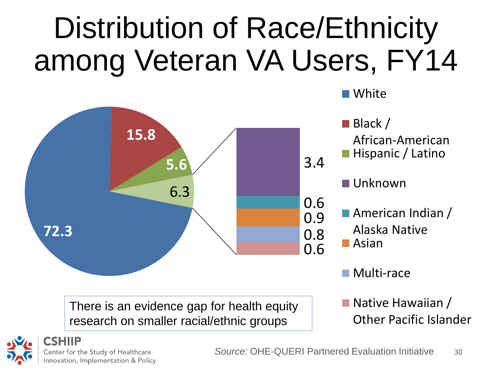## among Veteran VA Users, FY14Distribution of Race/Ethnicity



research on smaller racial/ethnic groups

Other Pacific Islander



White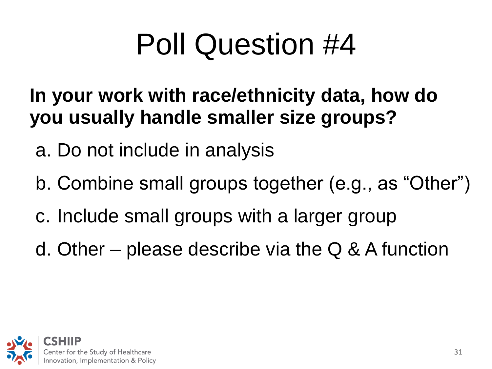## Poll Question #4

#### **In your work with race/ethnicity data, how do you usually handle smaller size groups?**

- a. Do not include in analysis
- b. Combine small groups together (e.g., as "Other")<br>c. Include small groups with a larger group
- 
- d. Other please describe via the Q & A function

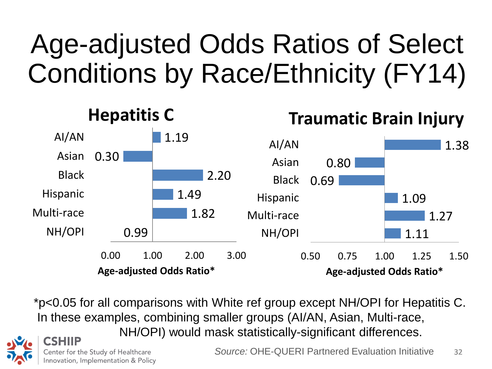## Age-adjusted Odds Ratios of Select Conditions by Race/Ethnicity (FY14)



\*p<0.05 for all comparisons with White ref group except NH/OPI for Hepatitis C. In these examples, combining smaller groups (AI/AN, Asian, Multi-race, NH/OPI) would mask statistically-significant differences.



*Source:* OHE-QUERI Partnered Evaluation Initiative 32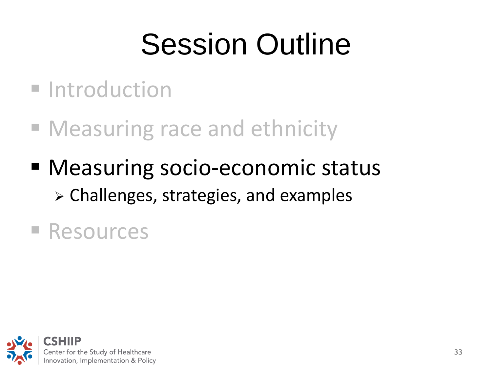## Session Outline

- **Introduction**
- **Measuring race and ethnicity**
- > Challenges, strategies, and examples<br>Resources Measuring socio-economic status

■ Resources

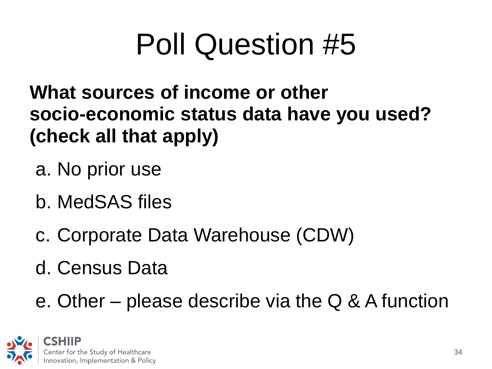## Poll Question #5

What sources of income or other<br>socio-economic status data have you used? **(check all that apply)** 

- a. No prior use
- b. MedSAS files
- c. Corporate Data Warehouse (CDW)
- 

d. Census Data<br>e. Other – please describe via the Q & A function

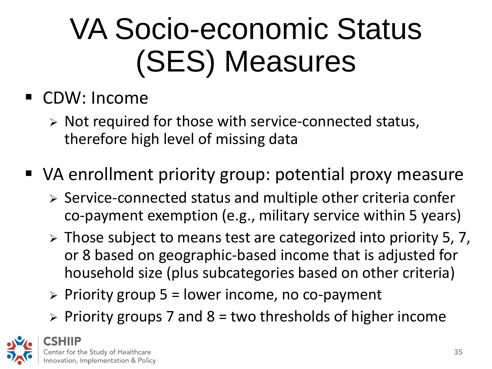## VA Socio-economic Status (SES) Measures

#### CDW: Income

- $\triangleright$  Not required for those with service-connected status, therefore high level of missing data
- VA enrollment priority group: potential proxy measure
	- $\triangleright$  Service-connected status and multiple other criteria confer co-payment exemption (e.g., military service within 5 years)
	- $\triangleright$  Those subject to means test are categorized into priority 5, 7, or 8 based on geographic-based income that is adjusted for household size (plus subcategories based on other criteria)
	- $\triangleright$  Priority group 5 = lower income, no co-payment
	- $\triangleright$  Priority groups 7 and 8 = two thresholds of higher income

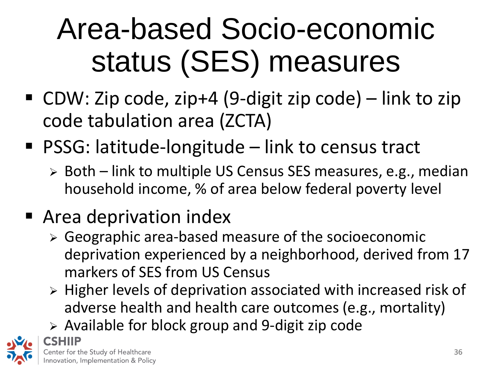## status (SES) measures Area-based Socio-economic

- CDW: Zip code, zip+4 (9-digit zip code) link to zip code tabulation area (ZCTA)
- PSSG: latitude-longitude link to census tract
	- $\triangleright$  Both link to multiple US Census SES measures, e.g., median household income, % of area below federal poverty level

#### ■ Area deprivation index

- Geographic area-based measure of the socioeconomic deprivation experienced by a neighborhood, derived from 17 markers of SES from US Census
- $\triangleright$  Higher levels of deprivation associated with increased risk of adverse health and health care outcomes (e.g., mortality)
- $\triangleright$  Available for block group and 9-digit zip code

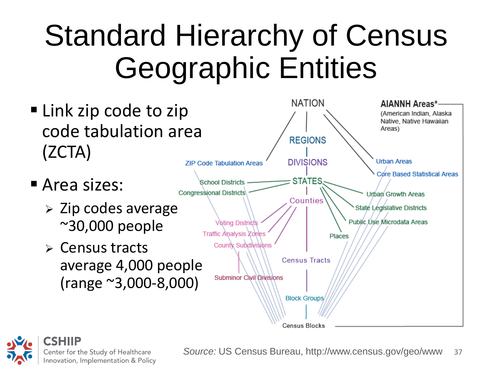## Geographic EntitiesStandard Hierarchy of Census



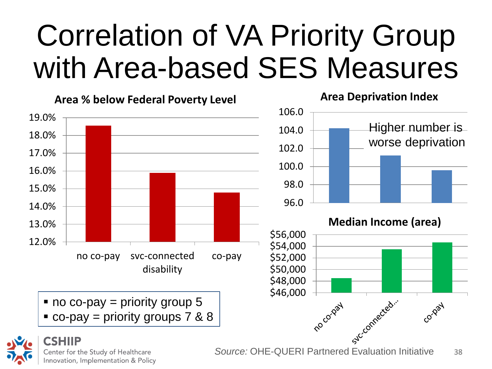## with Area-based SES MeasuresCorrelation of VA Priority Group



Center for the Study of Healthcare Innovation, Implementation & Policy 38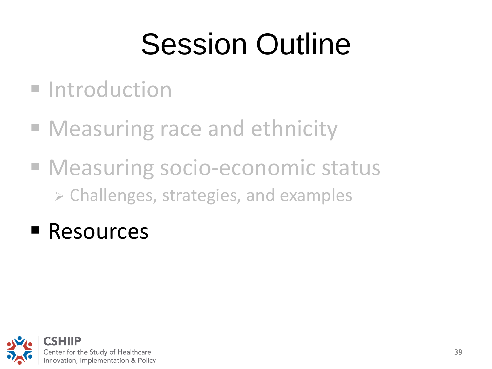## Session Outline

- **Introduction**
- **Measuring race and ethnicity**
- **Measuring socio-economic status**  $\triangleright$  Challenges, strategies, and examples<br>Resources
- Resources

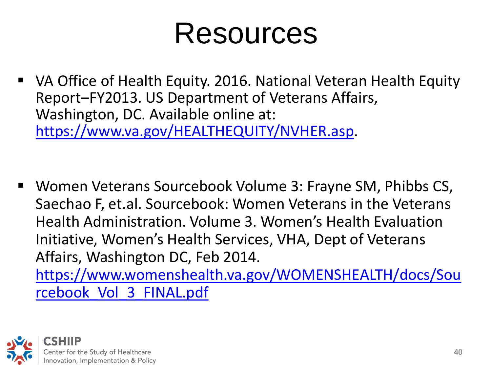## Resources

- VA Office of Health Equity. 2016. National Veteran Health Equity Report–FY2013. US Department of Veterans Affairs, Washington, DC. Available online at: <https://www.va.gov/HEALTHEQUITY/NVHER.asp>.
- Women Veterans Sourcebook Volume 3: Frayne SM, Phibbs CS, Saechao F, et.al. Sourcebook: Women Veterans in the Veterans Health Administration. Volume 3. Women's Health Evaluation Initiative, Women's Health Services, VHA, Dept of Veterans Affairs, Washington DC, Feb 2014.

rcebook Vol 3 FINAL.pdf [https://www.womenshealth.va.gov/WOMENSHEALTH/docs/Sou](https://www.womenshealth.va.gov/WOMENSHEALTH/docs/Sourcebook_Vol_3_FINAL.pdf)  **rcebook Vol 3 FINAL.pdf**<br>
CSHIIP<br>
Center for the Study of Healthcare 40

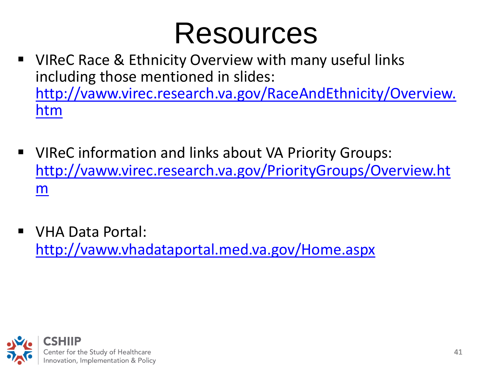## Resources

- [htm](http://vaww.virec.research.va.gov/RaceAndEthnicity/Overview.htm) **UIREC Race & Ethnicity Overview with many useful links** including those mentioned in slides: [http://vaww.virec.research.va.gov/RaceAndEthnicity/Overview.](http://vaww.virec.research.va.gov/RaceAndEthnicity/Overview.htm)
- VIReC information and links about VA Priority Groups: [http://vaww.virec.research.va.gov/PriorityGroups/Overview.ht](http://vaww.virec.research.va.gov/PriorityGroups/Overview.htm)  [m](http://vaww.virec.research.va.gov/PriorityGroups/Overview.htm)
- VHA Data Portal: <http://vaww.vhadataportal.med.va.gov/Home.aspx>

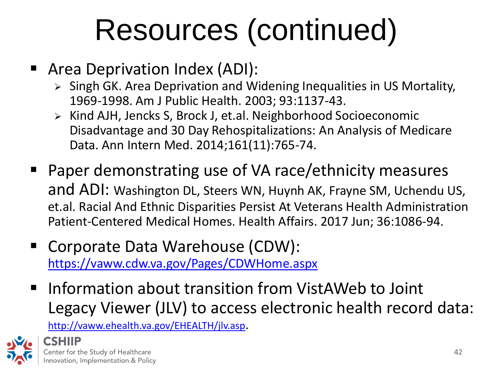## Resources (continued)

- **Area Deprivation Index (ADI):** 
	- > Singh GK. Area Deprivation and Widening Inequalities in US Mortality, 1969-1998. Am J Public Health. 2003; 93:1137-43.
	- Disadvantage and 30 Day Rehospitalizations: An Analysis of Medicare > Kind AJH, Jencks S, Brock J, et.al. Neighborhood Socioeconomic Data. Ann Intern Med. 2014;161(11):765-74.
- and ADI: Washington DL, Steers WN, Huynh AK, Frayne SM, Uchendu US, **Paper demonstrating use of VA race/ethnicity measures** et.al. Racial And Ethnic Disparities Persist At Veterans Health Administration Patient-Centered Medical Homes. Health Affairs. 2017 Jun; 36:1086-94.
- <https://vaww.cdw.va.gov/Pages/CDWHome.aspx>■ Corporate Data Warehouse (CDW):
- **Information about transition from VistAWeb to Joint** Legacy Viewer (JLV) to access electronic health record data:

<http://vaww.ehealth.va.gov/EHEALTH/jlv.asp>.

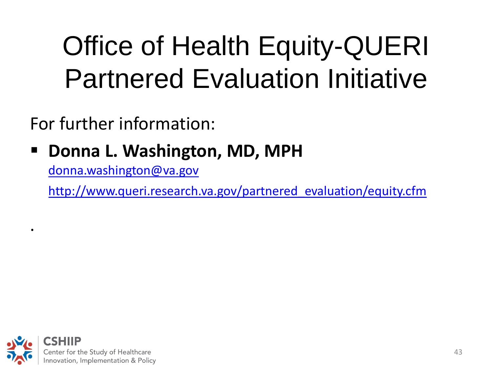## Partnered Evaluation InitiativeOffice of Health Equity-QUERI

For further information:

#### **Donna L. Washington, MD, MPH**

[donna.washington@va.gov](mailto:donna.washington@va.gov) 

[http://www.queri.research.va.gov/partnered\\_evaluation/equity.cfm](http://www.queri.research.va.gov/partnered_evaluation/equity.cfm) 



.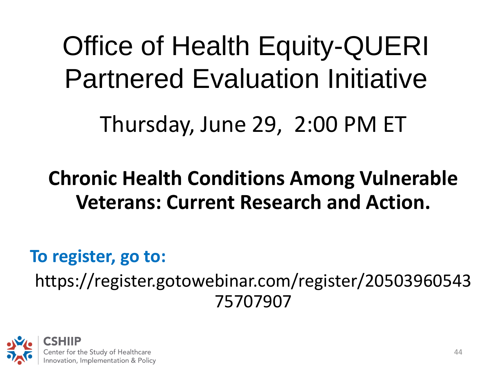Partnered Evaluation InitiativeOffice of Health Equity-QUERI

Thursday, June 29, 2:00 PM ET

## **Chronic Health Conditions Among Vulnerable Veterans: Current Research and Action.**<br>To register, go to:

# https://register.gotowebinar.com/register/20503960543<br>75707907<br>CSHIIP<br>Center for the Study of Healthcare<br>Innovation, Implementation & Policy